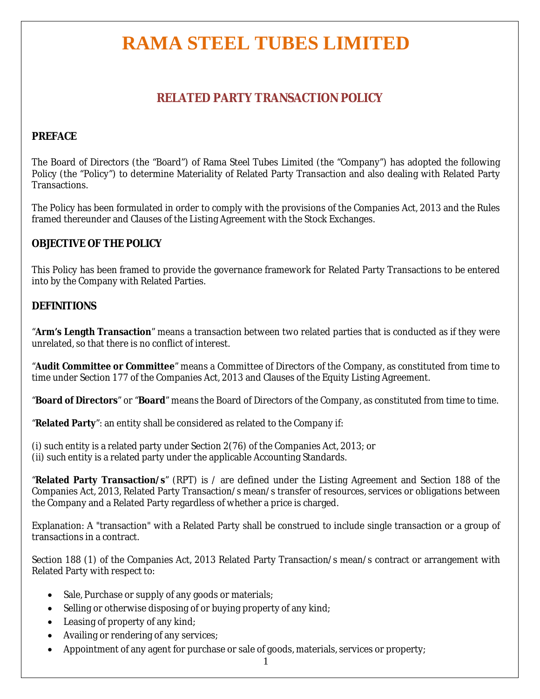## **RAMA STEEL TUBES LIMITED**

## **RELATED PARTY TRANSACTION POLICY**

### **PREFACE**

The Board of Directors (the "Board") of Rama Steel Tubes Limited (the "Company") has adopted the following Policy (the "Policy") to determine Materiality of Related Party Transaction and also dealing with Related Party Transactions.

The Policy has been formulated in order to comply with the provisions of the Companies Act, 2013 and the Rules framed thereunder and Clauses of the Listing Agreement with the Stock Exchanges.

#### **OBJECTIVE OF THE POLICY**

This Policy has been framed to provide the governance framework for Related Party Transactions to be entered into by the Company with Related Parties.

### **DEFINITIONS**

"**Arm's Length Transaction**" means a transaction between two related parties that is conducted as if they were unrelated, so that there is no conflict of interest.

"**Audit Committee or Committee**" means a Committee of Directors of the Company, as constituted from time to time under Section 177 of the Companies Act, 2013 and Clauses of the Equity Listing Agreement.

"**Board of Directors**" or "**Board**" means the Board of Directors of the Company, as constituted from time to time.

"**Related Party**": an entity shall be considered as related to the Company if:

(i) such entity is a related party under Section 2(76) of the Companies Act, 2013; or (ii) such entity is a related party under the applicable Accounting Standards.

"**Related Party Transaction/s**" (RPT) is / are defined under the Listing Agreement and Section 188 of the Companies Act, 2013, Related Party Transaction/s mean/s transfer of resources, services or obligations between the Company and a Related Party regardless of whether a price is charged.

Explanation: A "transaction" with a Related Party shall be construed to include single transaction or a group of transactions in a contract.

Section 188 (1) of the Companies Act, 2013 Related Party Transaction/s mean/s contract or arrangement with Related Party with respect to:

- Sale, Purchase or supply of any goods or materials;
- Selling or otherwise disposing of or buying property of any kind;
- Leasing of property of any kind;
- Availing or rendering of any services;
- Appointment of any agent for purchase or sale of goods, materials, services or property;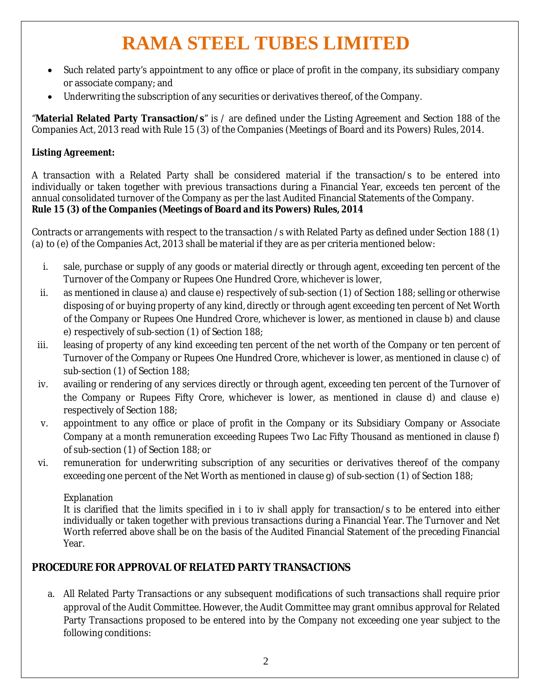# **RAMA STEEL TUBES LIMITED**

- Such related party's appointment to any office or place of profit in the company, its subsidiary company or associate company; and
- Underwriting the subscription of any securities or derivatives thereof, of the Company.

"**Material Related Party Transaction/s**" is / are defined under the Listing Agreement and Section 188 of the Companies Act, 2013 read with Rule 15 (3) of the Companies (Meetings of Board and its Powers) Rules, 2014.

## *Listing Agreement:*

A transaction with a Related Party shall be considered material if the transaction/s to be entered into individually or taken together with previous transactions during a Financial Year, exceeds ten percent of the annual consolidated turnover of the Company as per the last Audited Financial Statements of the Company. *Rule 15 (3) of the Companies (Meetings of Board and its Powers) Rules, 2014*

Contracts or arrangements with respect to the transaction /s with Related Party as defined under Section 188 (1) (a) to (e) of the Companies Act, 2013 shall be material if they are as per criteria mentioned below:

- i. sale, purchase or supply of any goods or material directly or through agent, exceeding ten percent of the Turnover of the Company or Rupees One Hundred Crore, whichever is lower,
- ii. as mentioned in clause a) and clause e) respectively of sub-section (1) of Section 188; selling or otherwise disposing of or buying property of any kind, directly or through agent exceeding ten percent of Net Worth of the Company or Rupees One Hundred Crore, whichever is lower, as mentioned in clause b) and clause e) respectively of sub-section (1) of Section 188;
- iii. leasing of property of any kind exceeding ten percent of the net worth of the Company or ten percent of Turnover of the Company or Rupees One Hundred Crore, whichever is lower, as mentioned in clause c) of sub-section (1) of Section 188;
- iv. availing or rendering of any services directly or through agent, exceeding ten percent of the Turnover of the Company or Rupees Fifty Crore, whichever is lower, as mentioned in clause d) and clause e) respectively of Section 188;
- v. appointment to any office or place of profit in the Company or its Subsidiary Company or Associate Company at a month remuneration exceeding Rupees Two Lac Fifty Thousand as mentioned in clause f) of sub-section (1) of Section 188; or
- vi. remuneration for underwriting subscription of any securities or derivatives thereof of the company exceeding one percent of the Net Worth as mentioned in clause g) of sub-section (1) of Section 188;

#### **Explanation**

It is clarified that the limits specified in i to iv shall apply for transaction/s to be entered into either individually or taken together with previous transactions during a Financial Year. The Turnover and Net Worth referred above shall be on the basis of the Audited Financial Statement of the preceding Financial Year.

## **PROCEDURE FOR APPROVAL OF RELATED PARTY TRANSACTIONS**

a. All Related Party Transactions or any subsequent modifications of such transactions shall require prior approval of the Audit Committee. However, the Audit Committee may grant omnibus approval for Related Party Transactions proposed to be entered into by the Company not exceeding one year subject to the following conditions: